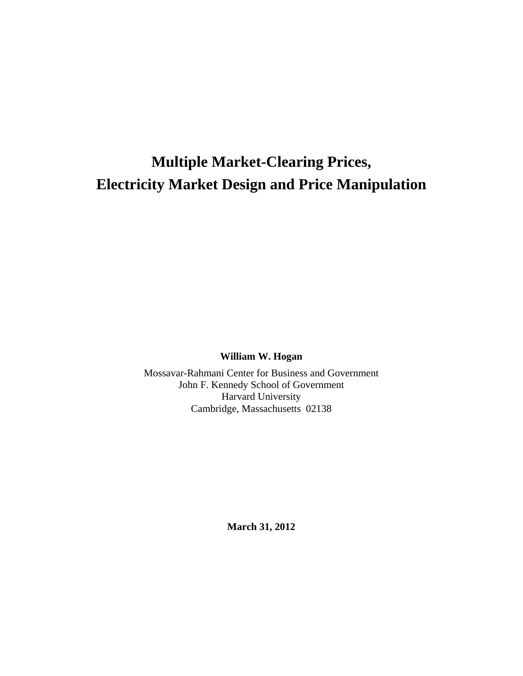# **Multiple Market-Clearing Prices, Electricity Market Design and Price Manipulation**

**William W. Hogan** 

Mossavar-Rahmani Center for Business and Government John F. Kennedy School of Government Harvard University Cambridge, Massachusetts 02138

**March 31, 2012**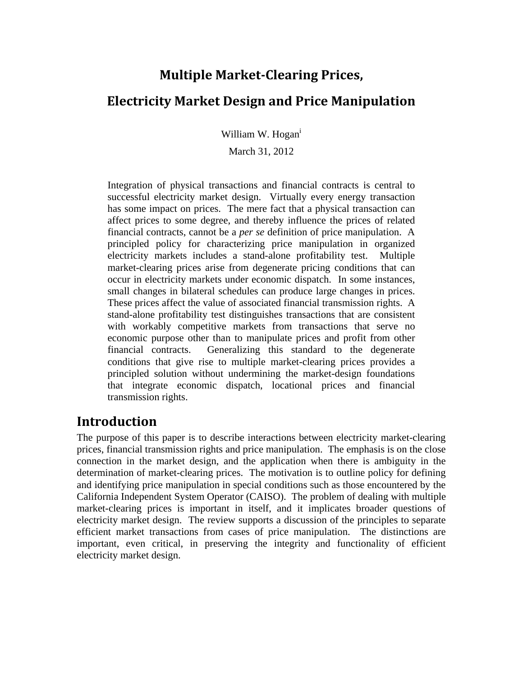### **Multiple Market‐Clearing Prices,**

### **Electricity Market Design and Price Manipulation**

William W. Hogan<sup>i</sup>

March 31, 2012

Integration of physical transactions and financial contracts is central to successful electricity market design. Virtually every energy transaction has some impact on prices. The mere fact that a physical transaction can affect prices to some degree, and thereby influence the prices of related financial contracts, cannot be a *per se* definition of price manipulation. A principled policy for characterizing price manipulation in organized electricity markets includes a stand-alone profitability test. Multiple market-clearing prices arise from degenerate pricing conditions that can occur in electricity markets under economic dispatch. In some instances, small changes in bilateral schedules can produce large changes in prices. These prices affect the value of associated financial transmission rights. A stand-alone profitability test distinguishes transactions that are consistent with workably competitive markets from transactions that serve no economic purpose other than to manipulate prices and profit from other financial contracts. Generalizing this standard to the degenerate conditions that give rise to multiple market-clearing prices provides a principled solution without undermining the market-design foundations that integrate economic dispatch, locational prices and financial transmission rights.

### **Introduction**

The purpose of this paper is to describe interactions between electricity market-clearing prices, financial transmission rights and price manipulation. The emphasis is on the close connection in the market design, and the application when there is ambiguity in the determination of market-clearing prices. The motivation is to outline policy for defining and identifying price manipulation in special conditions such as those encountered by the California Independent System Operator (CAISO). The problem of dealing with multiple market-clearing prices is important in itself, and it implicates broader questions of electricity market design. The review supports a discussion of the principles to separate efficient market transactions from cases of price manipulation. The distinctions are important, even critical, in preserving the integrity and functionality of efficient electricity market design.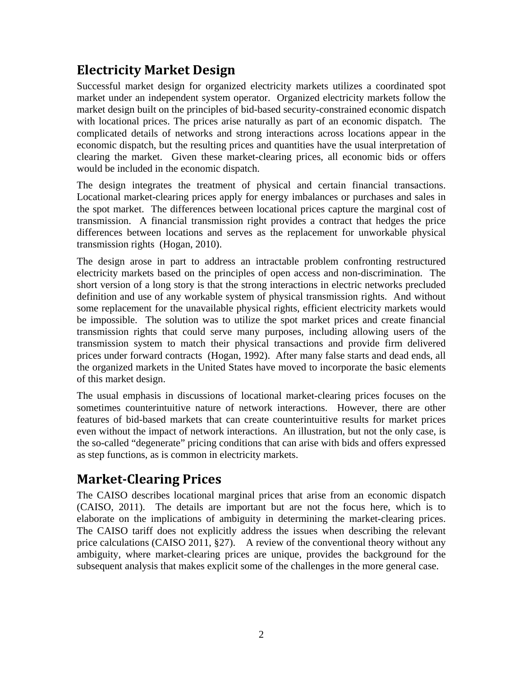# **Electricity Market Design**

Successful market design for organized electricity markets utilizes a coordinated spot market under an independent system operator. Organized electricity markets follow the market design built on the principles of bid-based security-constrained economic dispatch with locational prices. The prices arise naturally as part of an economic dispatch. The complicated details of networks and strong interactions across locations appear in the economic dispatch, but the resulting prices and quantities have the usual interpretation of clearing the market. Given these market-clearing prices, all economic bids or offers would be included in the economic dispatch.

The design integrates the treatment of physical and certain financial transactions. Locational market-clearing prices apply for energy imbalances or purchases and sales in the spot market. The differences between locational prices capture the marginal cost of transmission. A financial transmission right provides a contract that hedges the price differences between locations and serves as the replacement for unworkable physical transmission rights (Hogan, 2010).

The design arose in part to address an intractable problem confronting restructured electricity markets based on the principles of open access and non-discrimination. The short version of a long story is that the strong interactions in electric networks precluded definition and use of any workable system of physical transmission rights. And without some replacement for the unavailable physical rights, efficient electricity markets would be impossible. The solution was to utilize the spot market prices and create financial transmission rights that could serve many purposes, including allowing users of the transmission system to match their physical transactions and provide firm delivered prices under forward contracts (Hogan, 1992). After many false starts and dead ends, all the organized markets in the United States have moved to incorporate the basic elements of this market design.

The usual emphasis in discussions of locational market-clearing prices focuses on the sometimes counterintuitive nature of network interactions. However, there are other features of bid-based markets that can create counterintuitive results for market prices even without the impact of network interactions. An illustration, but not the only case, is the so-called "degenerate" pricing conditions that can arise with bids and offers expressed as step functions, as is common in electricity markets.

# **Market‐Clearing Prices**

The CAISO describes locational marginal prices that arise from an economic dispatch (CAISO, 2011). The details are important but are not the focus here, which is to elaborate on the implications of ambiguity in determining the market-clearing prices. The CAISO tariff does not explicitly address the issues when describing the relevant price calculations (CAISO 2011, §27). A review of the conventional theory without any ambiguity, where market-clearing prices are unique, provides the background for the subsequent analysis that makes explicit some of the challenges in the more general case.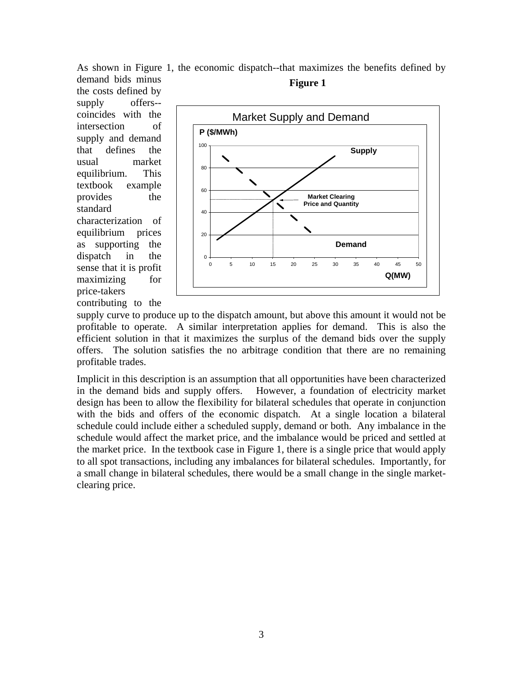As shown in Figure 1, the economic dispatch--that maximizes the benefits defined by demand bids minus **Figure 1** 

the costs defined by supply offers- coincides with the intersection of supply and demand that defines the usual market equilibrium. This textbook example provides the standard characterization of equilibrium prices as supporting the dispatch in the sense that it is profit maximizing for price-takers contributing to the



supply curve to produce up to the dispatch amount, but above this amount it would not be profitable to operate. A similar interpretation applies for demand. This is also the efficient solution in that it maximizes the surplus of the demand bids over the supply offers. The solution satisfies the no arbitrage condition that there are no remaining profitable trades.

Implicit in this description is an assumption that all opportunities have been characterized in the demand bids and supply offers. However, a foundation of electricity market design has been to allow the flexibility for bilateral schedules that operate in conjunction with the bids and offers of the economic dispatch. At a single location a bilateral schedule could include either a scheduled supply, demand or both. Any imbalance in the schedule would affect the market price, and the imbalance would be priced and settled at the market price. In the textbook case in Figure 1, there is a single price that would apply to all spot transactions, including any imbalances for bilateral schedules. Importantly, for a small change in bilateral schedules, there would be a small change in the single marketclearing price.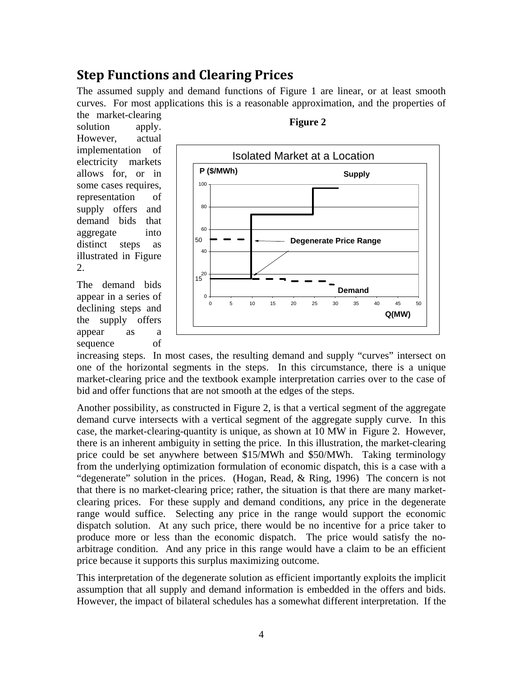### **Step Functions and Clearing Prices**

The assumed supply and demand functions of Figure 1 are linear, or at least smooth curves. For most applications this is a reasonable approximation, and the properties of

the market-clearing solution apply. However, actual implementation of electricity markets allows for, or in some cases requires, representation of supply offers and demand bids that aggregate into distinct steps as illustrated in Figure 2.

The demand bids appear in a series of declining steps and the supply offers appear as a sequence of



#### **Figure 2**

increasing steps. In most cases, the resulting demand and supply "curves" intersect on one of the horizontal segments in the steps. In this circumstance, there is a unique market-clearing price and the textbook example interpretation carries over to the case of bid and offer functions that are not smooth at the edges of the steps.

Another possibility, as constructed in Figure 2, is that a vertical segment of the aggregate demand curve intersects with a vertical segment of the aggregate supply curve. In this case, the market-clearing-quantity is unique, as shown at 10 MW in Figure 2. However, there is an inherent ambiguity in setting the price. In this illustration, the market-clearing price could be set anywhere between \$15/MWh and \$50/MWh. Taking terminology from the underlying optimization formulation of economic dispatch, this is a case with a "degenerate" solution in the prices. (Hogan, Read, & Ring, 1996) The concern is not that there is no market-clearing price; rather, the situation is that there are many marketclearing prices. For these supply and demand conditions, any price in the degenerate range would suffice. Selecting any price in the range would support the economic dispatch solution. At any such price, there would be no incentive for a price taker to produce more or less than the economic dispatch. The price would satisfy the noarbitrage condition. And any price in this range would have a claim to be an efficient price because it supports this surplus maximizing outcome.

This interpretation of the degenerate solution as efficient importantly exploits the implicit assumption that all supply and demand information is embedded in the offers and bids. However, the impact of bilateral schedules has a somewhat different interpretation. If the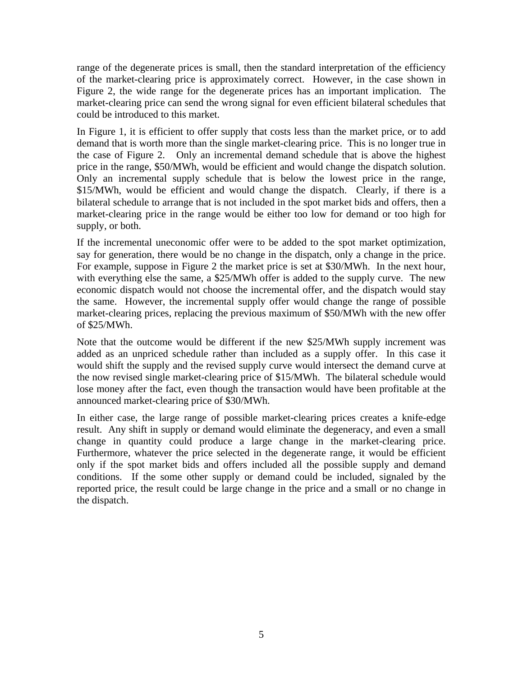range of the degenerate prices is small, then the standard interpretation of the efficiency of the market-clearing price is approximately correct. However, in the case shown in Figure 2, the wide range for the degenerate prices has an important implication. The market-clearing price can send the wrong signal for even efficient bilateral schedules that could be introduced to this market.

In Figure 1, it is efficient to offer supply that costs less than the market price, or to add demand that is worth more than the single market-clearing price. This is no longer true in the case of Figure 2. Only an incremental demand schedule that is above the highest price in the range, \$50/MWh, would be efficient and would change the dispatch solution. Only an incremental supply schedule that is below the lowest price in the range, \$15/MWh, would be efficient and would change the dispatch. Clearly, if there is a bilateral schedule to arrange that is not included in the spot market bids and offers, then a market-clearing price in the range would be either too low for demand or too high for supply, or both.

If the incremental uneconomic offer were to be added to the spot market optimization, say for generation, there would be no change in the dispatch, only a change in the price. For example, suppose in Figure 2 the market price is set at \$30/MWh. In the next hour, with everything else the same, a \$25/MWh offer is added to the supply curve. The new economic dispatch would not choose the incremental offer, and the dispatch would stay the same. However, the incremental supply offer would change the range of possible market-clearing prices, replacing the previous maximum of \$50/MWh with the new offer of \$25/MWh.

Note that the outcome would be different if the new \$25/MWh supply increment was added as an unpriced schedule rather than included as a supply offer. In this case it would shift the supply and the revised supply curve would intersect the demand curve at the now revised single market-clearing price of \$15/MWh. The bilateral schedule would lose money after the fact, even though the transaction would have been profitable at the announced market-clearing price of \$30/MWh.

In either case, the large range of possible market-clearing prices creates a knife-edge result. Any shift in supply or demand would eliminate the degeneracy, and even a small change in quantity could produce a large change in the market-clearing price. Furthermore, whatever the price selected in the degenerate range, it would be efficient only if the spot market bids and offers included all the possible supply and demand conditions. If the some other supply or demand could be included, signaled by the reported price, the result could be large change in the price and a small or no change in the dispatch.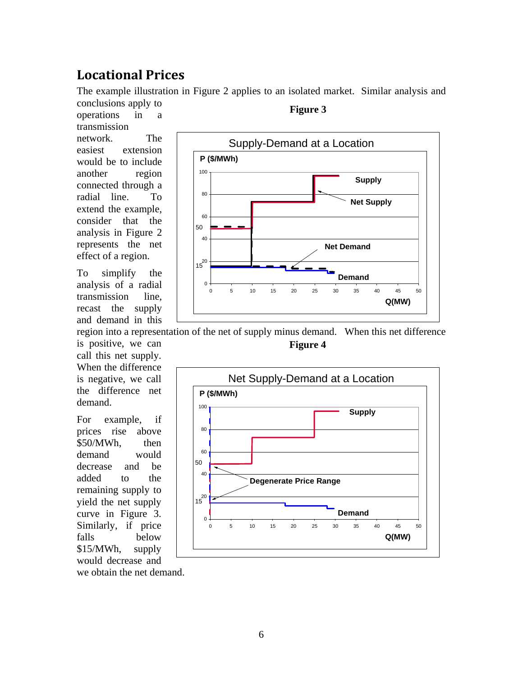## **Locational Prices**

The example illustration in Figure 2 applies to an isolated market. Similar analysis and conclusions apply to

operations in a transmission network. The easiest extension would be to include another region connected through a radial line. To extend the example, consider that the analysis in Figure 2 represents the net effect of a region.

To simplify the analysis of a radial transmission line, recast the supply and demand in this

is positive, we can call this net supply. When the difference is negative, we call the difference net demand.

For example, if prices rise above \$50/MWh, then demand would decrease and be added to the remaining supply to yield the net supply curve in Figure 3. Similarly, if price falls below \$15/MWh, supply would decrease and



#### **Figure 3**

region into a representation of the net of supply minus demand. When this net difference **Figure 4** 



we obtain the net demand.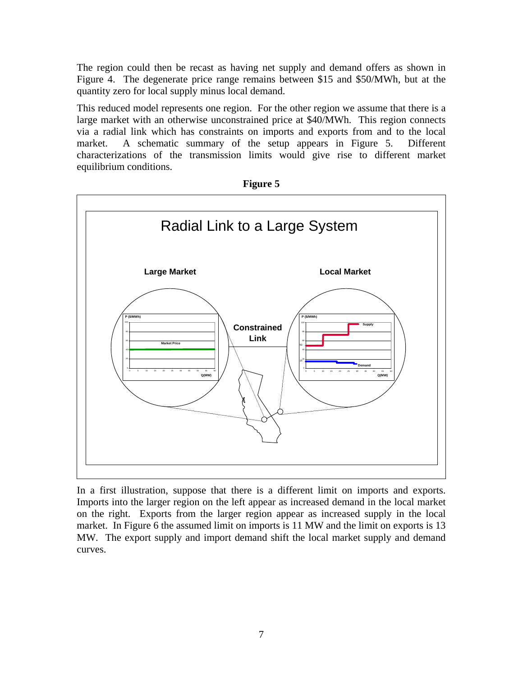The region could then be recast as having net supply and demand offers as shown in Figure 4. The degenerate price range remains between \$15 and \$50/MWh, but at the quantity zero for local supply minus local demand.

This reduced model represents one region. For the other region we assume that there is a large market with an otherwise unconstrained price at \$40/MWh. This region connects via a radial link which has constraints on imports and exports from and to the local market. A schematic summary of the setup appears in Figure 5. Different characterizations of the transmission limits would give rise to different market equilibrium conditions.



**Figure 5** 

In a first illustration, suppose that there is a different limit on imports and exports. Imports into the larger region on the left appear as increased demand in the local market on the right. Exports from the larger region appear as increased supply in the local market. In Figure 6 the assumed limit on imports is 11 MW and the limit on exports is 13 MW. The export supply and import demand shift the local market supply and demand curves.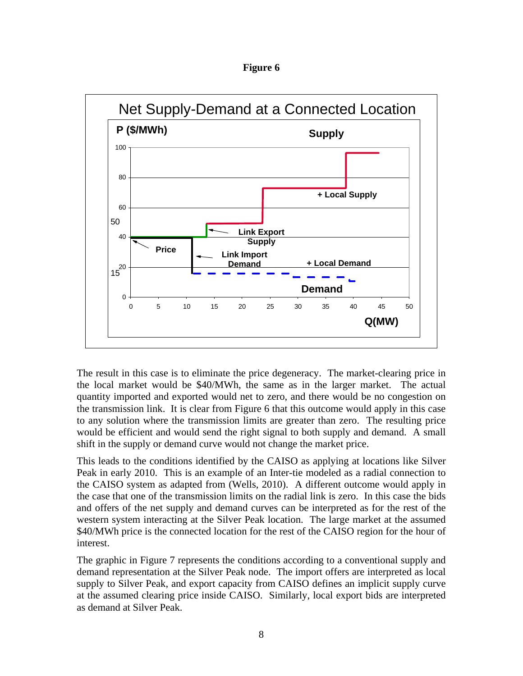**Figure 6** 



The result in this case is to eliminate the price degeneracy. The market-clearing price in the local market would be \$40/MWh, the same as in the larger market. The actual quantity imported and exported would net to zero, and there would be no congestion on the transmission link. It is clear from Figure 6 that this outcome would apply in this case to any solution where the transmission limits are greater than zero. The resulting price would be efficient and would send the right signal to both supply and demand. A small shift in the supply or demand curve would not change the market price.

This leads to the conditions identified by the CAISO as applying at locations like Silver Peak in early 2010. This is an example of an Inter-tie modeled as a radial connection to the CAISO system as adapted from (Wells, 2010). A different outcome would apply in the case that one of the transmission limits on the radial link is zero. In this case the bids and offers of the net supply and demand curves can be interpreted as for the rest of the western system interacting at the Silver Peak location. The large market at the assumed \$40/MWh price is the connected location for the rest of the CAISO region for the hour of interest.

The graphic in Figure 7 represents the conditions according to a conventional supply and demand representation at the Silver Peak node. The import offers are interpreted as local supply to Silver Peak, and export capacity from CAISO defines an implicit supply curve at the assumed clearing price inside CAISO. Similarly, local export bids are interpreted as demand at Silver Peak.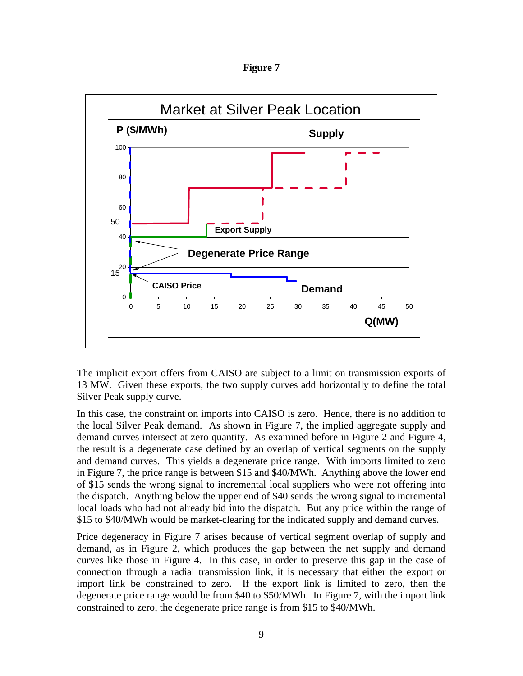

**Figure 7** 

The implicit export offers from CAISO are subject to a limit on transmission exports of 13 MW. Given these exports, the two supply curves add horizontally to define the total Silver Peak supply curve.

In this case, the constraint on imports into CAISO is zero. Hence, there is no addition to the local Silver Peak demand. As shown in Figure 7, the implied aggregate supply and demand curves intersect at zero quantity. As examined before in Figure 2 and Figure 4, the result is a degenerate case defined by an overlap of vertical segments on the supply and demand curves. This yields a degenerate price range. With imports limited to zero in Figure 7, the price range is between \$15 and \$40/MWh. Anything above the lower end of \$15 sends the wrong signal to incremental local suppliers who were not offering into the dispatch. Anything below the upper end of \$40 sends the wrong signal to incremental local loads who had not already bid into the dispatch. But any price within the range of \$15 to \$40/MWh would be market-clearing for the indicated supply and demand curves.

Price degeneracy in Figure 7 arises because of vertical segment overlap of supply and demand, as in Figure 2, which produces the gap between the net supply and demand curves like those in Figure 4. In this case, in order to preserve this gap in the case of connection through a radial transmission link, it is necessary that either the export or import link be constrained to zero. If the export link is limited to zero, then the degenerate price range would be from \$40 to \$50/MWh. In Figure 7, with the import link constrained to zero, the degenerate price range is from \$15 to \$40/MWh.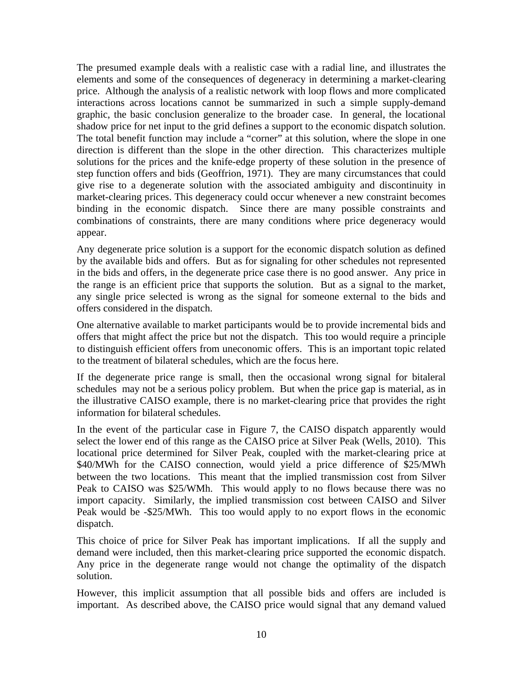The presumed example deals with a realistic case with a radial line, and illustrates the elements and some of the consequences of degeneracy in determining a market-clearing price. Although the analysis of a realistic network with loop flows and more complicated interactions across locations cannot be summarized in such a simple supply-demand graphic, the basic conclusion generalize to the broader case. In general, the locational shadow price for net input to the grid defines a support to the economic dispatch solution. The total benefit function may include a "corner" at this solution, where the slope in one direction is different than the slope in the other direction. This characterizes multiple solutions for the prices and the knife-edge property of these solution in the presence of step function offers and bids (Geoffrion, 1971). They are many circumstances that could give rise to a degenerate solution with the associated ambiguity and discontinuity in market-clearing prices. This degeneracy could occur whenever a new constraint becomes binding in the economic dispatch. Since there are many possible constraints and combinations of constraints, there are many conditions where price degeneracy would appear.

Any degenerate price solution is a support for the economic dispatch solution as defined by the available bids and offers. But as for signaling for other schedules not represented in the bids and offers, in the degenerate price case there is no good answer. Any price in the range is an efficient price that supports the solution. But as a signal to the market, any single price selected is wrong as the signal for someone external to the bids and offers considered in the dispatch.

One alternative available to market participants would be to provide incremental bids and offers that might affect the price but not the dispatch. This too would require a principle to distinguish efficient offers from uneconomic offers. This is an important topic related to the treatment of bilateral schedules, which are the focus here.

If the degenerate price range is small, then the occasional wrong signal for bitaleral schedules may not be a serious policy problem. But when the price gap is material, as in the illustrative CAISO example, there is no market-clearing price that provides the right information for bilateral schedules.

In the event of the particular case in Figure 7, the CAISO dispatch apparently would select the lower end of this range as the CAISO price at Silver Peak (Wells, 2010). This locational price determined for Silver Peak, coupled with the market-clearing price at \$40/MWh for the CAISO connection, would yield a price difference of \$25/MWh between the two locations. This meant that the implied transmission cost from Silver Peak to CAISO was \$25/WMh. This would apply to no flows because there was no import capacity. Similarly, the implied transmission cost between CAISO and Silver Peak would be -\$25/MWh. This too would apply to no export flows in the economic dispatch.

This choice of price for Silver Peak has important implications. If all the supply and demand were included, then this market-clearing price supported the economic dispatch. Any price in the degenerate range would not change the optimality of the dispatch solution.

However, this implicit assumption that all possible bids and offers are included is important. As described above, the CAISO price would signal that any demand valued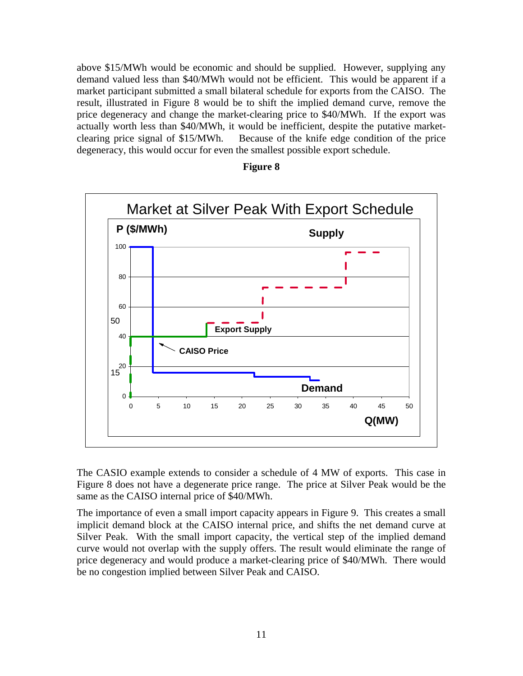above \$15/MWh would be economic and should be supplied. However, supplying any demand valued less than \$40/MWh would not be efficient. This would be apparent if a market participant submitted a small bilateral schedule for exports from the CAISO. The result, illustrated in Figure 8 would be to shift the implied demand curve, remove the price degeneracy and change the market-clearing price to \$40/MWh. If the export was actually worth less than \$40/MWh, it would be inefficient, despite the putative marketclearing price signal of \$15/MWh. Because of the knife edge condition of the price degeneracy, this would occur for even the smallest possible export schedule.



#### **Figure 8**

The CASIO example extends to consider a schedule of 4 MW of exports. This case in Figure 8 does not have a degenerate price range. The price at Silver Peak would be the same as the CAISO internal price of \$40/MWh.

The importance of even a small import capacity appears in Figure 9. This creates a small implicit demand block at the CAISO internal price, and shifts the net demand curve at Silver Peak. With the small import capacity, the vertical step of the implied demand curve would not overlap with the supply offers. The result would eliminate the range of price degeneracy and would produce a market-clearing price of \$40/MWh. There would be no congestion implied between Silver Peak and CAISO.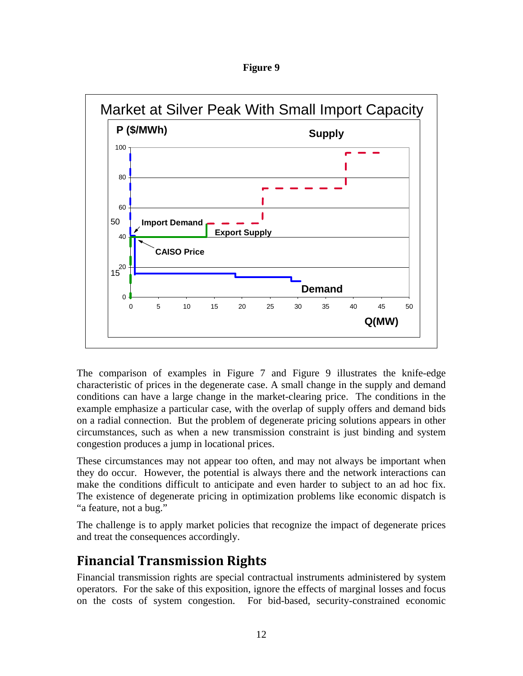| 19111<br>г |  |
|------------|--|
|------------|--|



The comparison of examples in Figure 7 and Figure 9 illustrates the knife-edge characteristic of prices in the degenerate case. A small change in the supply and demand conditions can have a large change in the market-clearing price. The conditions in the example emphasize a particular case, with the overlap of supply offers and demand bids on a radial connection. But the problem of degenerate pricing solutions appears in other circumstances, such as when a new transmission constraint is just binding and system congestion produces a jump in locational prices.

These circumstances may not appear too often, and may not always be important when they do occur. However, the potential is always there and the network interactions can make the conditions difficult to anticipate and even harder to subject to an ad hoc fix. The existence of degenerate pricing in optimization problems like economic dispatch is "a feature, not a bug."

The challenge is to apply market policies that recognize the impact of degenerate prices and treat the consequences accordingly.

# **Financial Transmission Rights**

Financial transmission rights are special contractual instruments administered by system operators. For the sake of this exposition, ignore the effects of marginal losses and focus on the costs of system congestion. For bid-based, security-constrained economic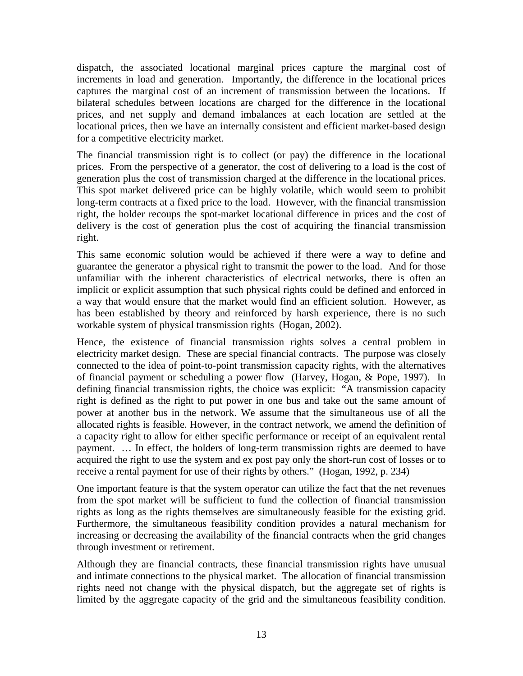dispatch, the associated locational marginal prices capture the marginal cost of increments in load and generation. Importantly, the difference in the locational prices captures the marginal cost of an increment of transmission between the locations. If bilateral schedules between locations are charged for the difference in the locational prices, and net supply and demand imbalances at each location are settled at the locational prices, then we have an internally consistent and efficient market-based design for a competitive electricity market.

The financial transmission right is to collect (or pay) the difference in the locational prices. From the perspective of a generator, the cost of delivering to a load is the cost of generation plus the cost of transmission charged at the difference in the locational prices. This spot market delivered price can be highly volatile, which would seem to prohibit long-term contracts at a fixed price to the load. However, with the financial transmission right, the holder recoups the spot-market locational difference in prices and the cost of delivery is the cost of generation plus the cost of acquiring the financial transmission right.

This same economic solution would be achieved if there were a way to define and guarantee the generator a physical right to transmit the power to the load. And for those unfamiliar with the inherent characteristics of electrical networks, there is often an implicit or explicit assumption that such physical rights could be defined and enforced in a way that would ensure that the market would find an efficient solution. However, as has been established by theory and reinforced by harsh experience, there is no such workable system of physical transmission rights (Hogan, 2002).

Hence, the existence of financial transmission rights solves a central problem in electricity market design. These are special financial contracts. The purpose was closely connected to the idea of point-to-point transmission capacity rights, with the alternatives of financial payment or scheduling a power flow (Harvey, Hogan, & Pope, 1997). In defining financial transmission rights, the choice was explicit: "A transmission capacity right is defined as the right to put power in one bus and take out the same amount of power at another bus in the network. We assume that the simultaneous use of all the allocated rights is feasible. However, in the contract network, we amend the definition of a capacity right to allow for either specific performance or receipt of an equivalent rental payment. … In effect, the holders of long-term transmission rights are deemed to have acquired the right to use the system and ex post pay only the short-run cost of losses or to receive a rental payment for use of their rights by others." (Hogan, 1992, p. 234)

One important feature is that the system operator can utilize the fact that the net revenues from the spot market will be sufficient to fund the collection of financial transmission rights as long as the rights themselves are simultaneously feasible for the existing grid. Furthermore, the simultaneous feasibility condition provides a natural mechanism for increasing or decreasing the availability of the financial contracts when the grid changes through investment or retirement.

Although they are financial contracts, these financial transmission rights have unusual and intimate connections to the physical market. The allocation of financial transmission rights need not change with the physical dispatch, but the aggregate set of rights is limited by the aggregate capacity of the grid and the simultaneous feasibility condition.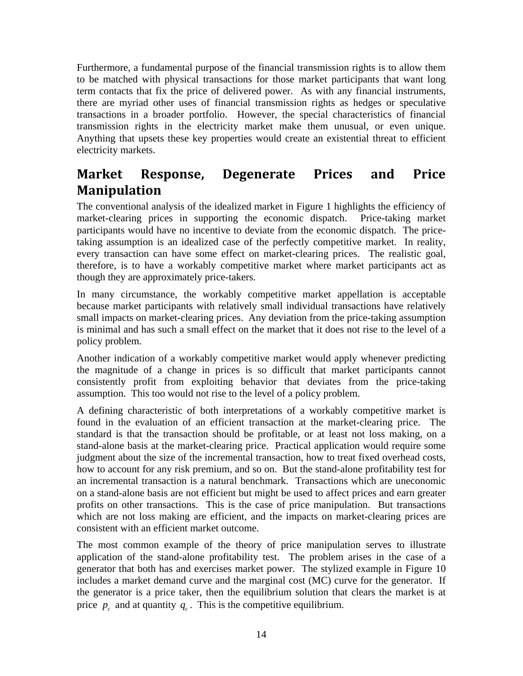Furthermore, a fundamental purpose of the financial transmission rights is to allow them to be matched with physical transactions for those market participants that want long term contacts that fix the price of delivered power. As with any financial instruments, there are myriad other uses of financial transmission rights as hedges or speculative transactions in a broader portfolio. However, the special characteristics of financial transmission rights in the electricity market make them unusual, or even unique. Anything that upsets these key properties would create an existential threat to efficient electricity markets.

### **Market Response, Degenerate Prices and Price Manipulation**

The conventional analysis of the idealized market in Figure 1 highlights the efficiency of market-clearing prices in supporting the economic dispatch. Price-taking market participants would have no incentive to deviate from the economic dispatch. The pricetaking assumption is an idealized case of the perfectly competitive market. In reality, every transaction can have some effect on market-clearing prices. The realistic goal, therefore, is to have a workably competitive market where market participants act as though they are approximately price-takers.

In many circumstance, the workably competitive market appellation is acceptable because market participants with relatively small individual transactions have relatively small impacts on market-clearing prices. Any deviation from the price-taking assumption is minimal and has such a small effect on the market that it does not rise to the level of a policy problem.

Another indication of a workably competitive market would apply whenever predicting the magnitude of a change in prices is so difficult that market participants cannot consistently profit from exploiting behavior that deviates from the price-taking assumption. This too would not rise to the level of a policy problem.

A defining characteristic of both interpretations of a workably competitive market is found in the evaluation of an efficient transaction at the market-clearing price. The standard is that the transaction should be profitable, or at least not loss making, on a stand-alone basis at the market-clearing price. Practical application would require some judgment about the size of the incremental transaction, how to treat fixed overhead costs, how to account for any risk premium, and so on. But the stand-alone profitability test for an incremental transaction is a natural benchmark. Transactions which are uneconomic on a stand-alone basis are not efficient but might be used to affect prices and earn greater profits on other transactions. This is the case of price manipulation. But transactions which are not loss making are efficient, and the impacts on market-clearing prices are consistent with an efficient market outcome.

The most common example of the theory of price manipulation serves to illustrate application of the stand-alone profitability test. The problem arises in the case of a generator that both has and exercises market power. The stylized example in Figure 10 includes a market demand curve and the marginal cost (MC) curve for the generator. If the generator is a price taker, then the equilibrium solution that clears the market is at price  $p_c$  and at quantity  $q_c$ . This is the competitive equilibrium.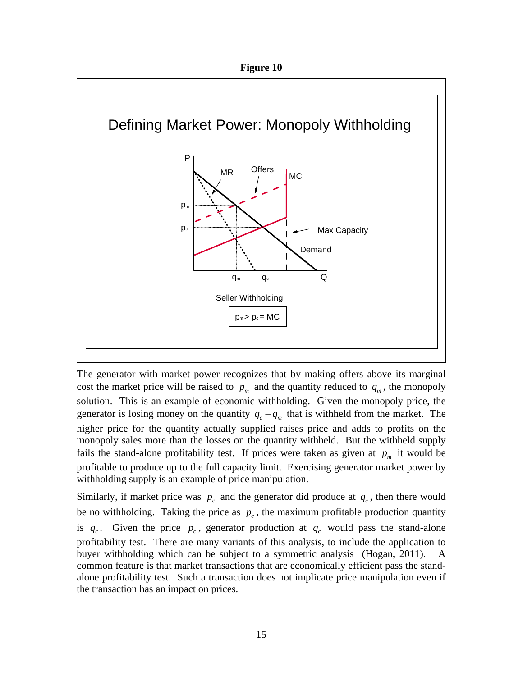



The generator with market power recognizes that by making offers above its marginal cost the market price will be raised to  $p_m$  and the quantity reduced to  $q_m$ , the monopoly solution. This is an example of economic withholding. Given the monopoly price, the generator is losing money on the quantity  $q_c - q_m$  that is withheld from the market. The higher price for the quantity actually supplied raises price and adds to profits on the monopoly sales more than the losses on the quantity withheld. But the withheld supply fails the stand-alone profitability test. If prices were taken as given at  $p_m$  it would be profitable to produce up to the full capacity limit. Exercising generator market power by withholding supply is an example of price manipulation.

Similarly, if market price was  $p_c$  and the generator did produce at  $q_c$ , then there would be no withholding. Taking the price as  $p_c$ , the maximum profitable production quantity is  $q_c$ . Given the price  $p_c$ , generator production at  $q_c$  would pass the stand-alone profitability test. There are many variants of this analysis, to include the application to buyer withholding which can be subject to a symmetric analysis (Hogan, 2011). A common feature is that market transactions that are economically efficient pass the standalone profitability test. Such a transaction does not implicate price manipulation even if the transaction has an impact on prices.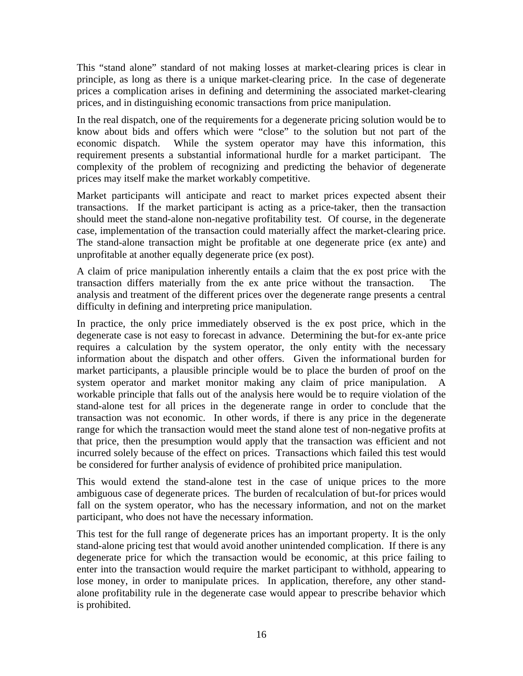This "stand alone" standard of not making losses at market-clearing prices is clear in principle, as long as there is a unique market-clearing price. In the case of degenerate prices a complication arises in defining and determining the associated market-clearing prices, and in distinguishing economic transactions from price manipulation.

In the real dispatch, one of the requirements for a degenerate pricing solution would be to know about bids and offers which were "close" to the solution but not part of the economic dispatch. While the system operator may have this information, this requirement presents a substantial informational hurdle for a market participant. The complexity of the problem of recognizing and predicting the behavior of degenerate prices may itself make the market workably competitive.

Market participants will anticipate and react to market prices expected absent their transactions. If the market participant is acting as a price-taker, then the transaction should meet the stand-alone non-negative profitability test. Of course, in the degenerate case, implementation of the transaction could materially affect the market-clearing price. The stand-alone transaction might be profitable at one degenerate price (ex ante) and unprofitable at another equally degenerate price (ex post).

A claim of price manipulation inherently entails a claim that the ex post price with the transaction differs materially from the ex ante price without the transaction. The analysis and treatment of the different prices over the degenerate range presents a central difficulty in defining and interpreting price manipulation.

In practice, the only price immediately observed is the ex post price, which in the degenerate case is not easy to forecast in advance. Determining the but-for ex-ante price requires a calculation by the system operator, the only entity with the necessary information about the dispatch and other offers. Given the informational burden for market participants, a plausible principle would be to place the burden of proof on the system operator and market monitor making any claim of price manipulation. A workable principle that falls out of the analysis here would be to require violation of the stand-alone test for all prices in the degenerate range in order to conclude that the transaction was not economic. In other words, if there is any price in the degenerate range for which the transaction would meet the stand alone test of non-negative profits at that price, then the presumption would apply that the transaction was efficient and not incurred solely because of the effect on prices. Transactions which failed this test would be considered for further analysis of evidence of prohibited price manipulation.

This would extend the stand-alone test in the case of unique prices to the more ambiguous case of degenerate prices. The burden of recalculation of but-for prices would fall on the system operator, who has the necessary information, and not on the market participant, who does not have the necessary information.

This test for the full range of degenerate prices has an important property. It is the only stand-alone pricing test that would avoid another unintended complication. If there is any degenerate price for which the transaction would be economic, at this price failing to enter into the transaction would require the market participant to withhold, appearing to lose money, in order to manipulate prices. In application, therefore, any other standalone profitability rule in the degenerate case would appear to prescribe behavior which is prohibited.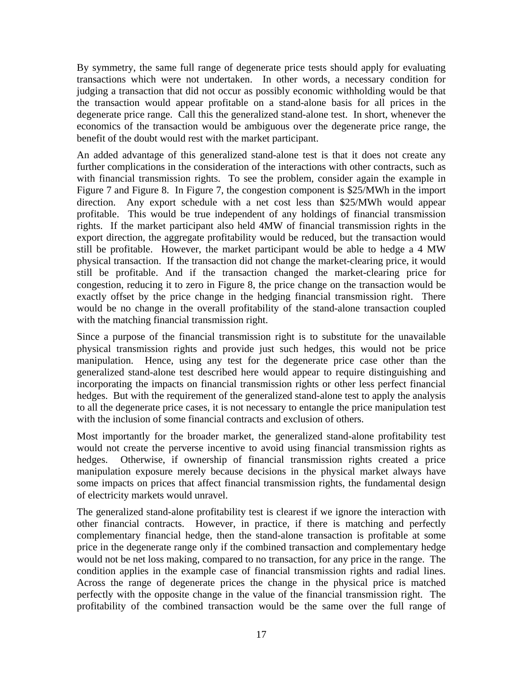By symmetry, the same full range of degenerate price tests should apply for evaluating transactions which were not undertaken. In other words, a necessary condition for judging a transaction that did not occur as possibly economic withholding would be that the transaction would appear profitable on a stand-alone basis for all prices in the degenerate price range. Call this the generalized stand-alone test. In short, whenever the economics of the transaction would be ambiguous over the degenerate price range, the benefit of the doubt would rest with the market participant.

An added advantage of this generalized stand-alone test is that it does not create any further complications in the consideration of the interactions with other contracts, such as with financial transmission rights. To see the problem, consider again the example in Figure 7 and Figure 8. In Figure 7, the congestion component is \$25/MWh in the import direction. Any export schedule with a net cost less than \$25/MWh would appear profitable. This would be true independent of any holdings of financial transmission rights. If the market participant also held 4MW of financial transmission rights in the export direction, the aggregate profitability would be reduced, but the transaction would still be profitable. However, the market participant would be able to hedge a 4 MW physical transaction. If the transaction did not change the market-clearing price, it would still be profitable. And if the transaction changed the market-clearing price for congestion, reducing it to zero in Figure 8, the price change on the transaction would be exactly offset by the price change in the hedging financial transmission right. There would be no change in the overall profitability of the stand-alone transaction coupled with the matching financial transmission right.

Since a purpose of the financial transmission right is to substitute for the unavailable physical transmission rights and provide just such hedges, this would not be price manipulation. Hence, using any test for the degenerate price case other than the generalized stand-alone test described here would appear to require distinguishing and incorporating the impacts on financial transmission rights or other less perfect financial hedges. But with the requirement of the generalized stand-alone test to apply the analysis to all the degenerate price cases, it is not necessary to entangle the price manipulation test with the inclusion of some financial contracts and exclusion of others.

Most importantly for the broader market, the generalized stand-alone profitability test would not create the perverse incentive to avoid using financial transmission rights as hedges. Otherwise, if ownership of financial transmission rights created a price manipulation exposure merely because decisions in the physical market always have some impacts on prices that affect financial transmission rights, the fundamental design of electricity markets would unravel.

The generalized stand-alone profitability test is clearest if we ignore the interaction with other financial contracts. However, in practice, if there is matching and perfectly complementary financial hedge, then the stand-alone transaction is profitable at some price in the degenerate range only if the combined transaction and complementary hedge would not be net loss making, compared to no transaction, for any price in the range. The condition applies in the example case of financial transmission rights and radial lines. Across the range of degenerate prices the change in the physical price is matched perfectly with the opposite change in the value of the financial transmission right. The profitability of the combined transaction would be the same over the full range of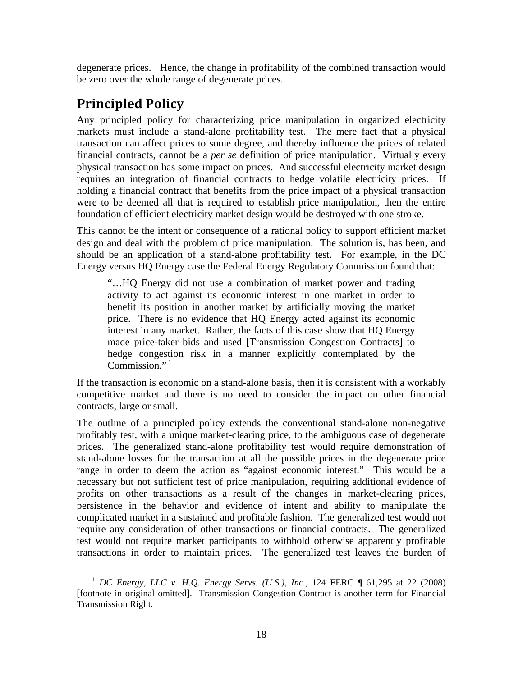degenerate prices. Hence, the change in profitability of the combined transaction would be zero over the whole range of degenerate prices.

# **Principled Policy**

 $\overline{a}$ 

Any principled policy for characterizing price manipulation in organized electricity markets must include a stand-alone profitability test. The mere fact that a physical transaction can affect prices to some degree, and thereby influence the prices of related financial contracts, cannot be a *per se* definition of price manipulation. Virtually every physical transaction has some impact on prices. And successful electricity market design requires an integration of financial contracts to hedge volatile electricity prices. If holding a financial contract that benefits from the price impact of a physical transaction were to be deemed all that is required to establish price manipulation, then the entire foundation of efficient electricity market design would be destroyed with one stroke.

This cannot be the intent or consequence of a rational policy to support efficient market design and deal with the problem of price manipulation. The solution is, has been, and should be an application of a stand-alone profitability test. For example, in the DC Energy versus HQ Energy case the Federal Energy Regulatory Commission found that:

"…HQ Energy did not use a combination of market power and trading activity to act against its economic interest in one market in order to benefit its position in another market by artificially moving the market price. There is no evidence that HQ Energy acted against its economic interest in any market. Rather, the facts of this case show that HQ Energy made price-taker bids and used [Transmission Congestion Contracts] to hedge congestion risk in a manner explicitly contemplated by the  $Common<sup>1</sup>$ 

If the transaction is economic on a stand-alone basis, then it is consistent with a workably competitive market and there is no need to consider the impact on other financial contracts, large or small.

The outline of a principled policy extends the conventional stand-alone non-negative profitably test, with a unique market-clearing price, to the ambiguous case of degenerate prices. The generalized stand-alone profitability test would require demonstration of stand-alone losses for the transaction at all the possible prices in the degenerate price range in order to deem the action as "against economic interest." This would be a necessary but not sufficient test of price manipulation, requiring additional evidence of profits on other transactions as a result of the changes in market-clearing prices, persistence in the behavior and evidence of intent and ability to manipulate the complicated market in a sustained and profitable fashion. The generalized test would not require any consideration of other transactions or financial contracts. The generalized test would not require market participants to withhold otherwise apparently profitable transactions in order to maintain prices. The generalized test leaves the burden of

<sup>1</sup> *DC Energy, LLC v. H.Q. Energy Servs. (U.S.), Inc.*, 124 FERC ¶ 61,295 at 22 (2008) [footnote in original omitted]. Transmission Congestion Contract is another term for Financial Transmission Right.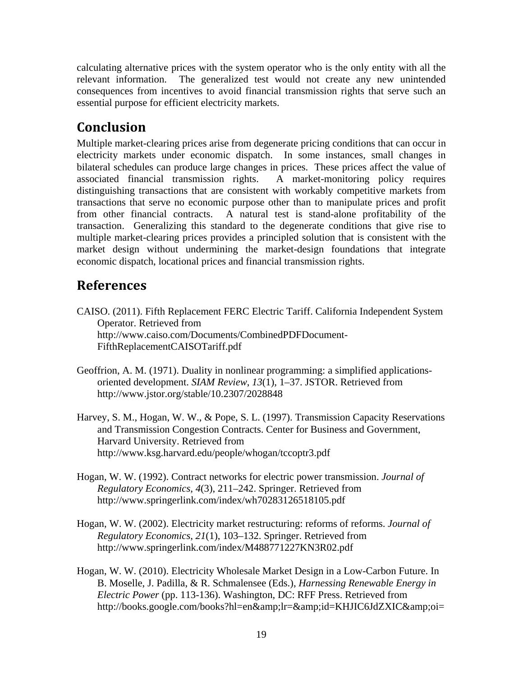calculating alternative prices with the system operator who is the only entity with all the relevant information. The generalized test would not create any new unintended consequences from incentives to avoid financial transmission rights that serve such an essential purpose for efficient electricity markets.

# **Conclusion**

Multiple market-clearing prices arise from degenerate pricing conditions that can occur in electricity markets under economic dispatch. In some instances, small changes in bilateral schedules can produce large changes in prices. These prices affect the value of associated financial transmission rights. A market-monitoring policy requires distinguishing transactions that are consistent with workably competitive markets from transactions that serve no economic purpose other than to manipulate prices and profit from other financial contracts. A natural test is stand-alone profitability of the transaction. Generalizing this standard to the degenerate conditions that give rise to multiple market-clearing prices provides a principled solution that is consistent with the market design without undermining the market-design foundations that integrate economic dispatch, locational prices and financial transmission rights.

# **References**

- CAISO. (2011). Fifth Replacement FERC Electric Tariff. California Independent System Operator. Retrieved from http://www.caiso.com/Documents/CombinedPDFDocument-FifthReplacementCAISOTariff.pdf
- Geoffrion, A. M. (1971). Duality in nonlinear programming: a simplified applicationsoriented development. *SIAM Review*, *13*(1), 1–37. JSTOR. Retrieved from http://www.jstor.org/stable/10.2307/2028848
- Harvey, S. M., Hogan, W. W., & Pope, S. L. (1997). Transmission Capacity Reservations and Transmission Congestion Contracts. Center for Business and Government, Harvard University. Retrieved from http://www.ksg.harvard.edu/people/whogan/tccoptr3.pdf
- Hogan, W. W. (1992). Contract networks for electric power transmission. *Journal of Regulatory Economics*, *4*(3), 211–242. Springer. Retrieved from http://www.springerlink.com/index/wh70283126518105.pdf
- Hogan, W. W. (2002). Electricity market restructuring: reforms of reforms. *Journal of Regulatory Economics*, *21*(1), 103–132. Springer. Retrieved from http://www.springerlink.com/index/M488771227KN3R02.pdf
- Hogan, W. W. (2010). Electricity Wholesale Market Design in a Low-Carbon Future. In B. Moselle, J. Padilla, & R. Schmalensee (Eds.), *Harnessing Renewable Energy in Electric Power* (pp. 113-136). Washington, DC: RFF Press. Retrieved from http://books.google.com/books?hl=en&lr=&id=KHJIC6JdZXIC&oi=